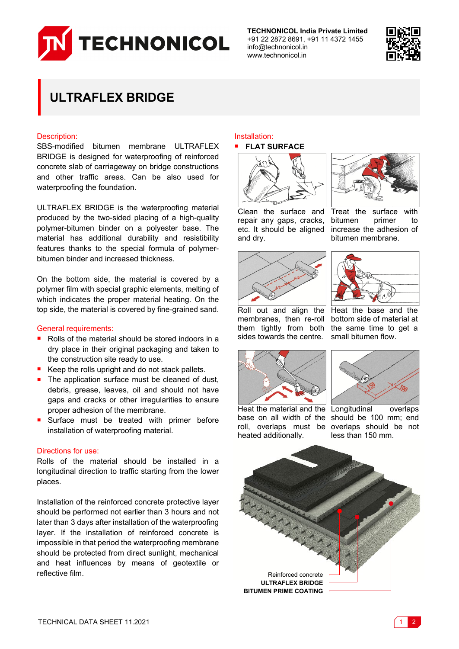

**TECHNONICOL India Private Limited** +91 22 2872 8691, +91 11 4372 1455 info@technonicol.in www.technonicol.in



# **ULTRAFLEX BRIDGE**

#### Description:

SBS-modified bitumen membrane ULTRAFLEX BRIDGE is designed for waterproofing of reinforced concrete slab of carriageway on bridge constructions and other traffic areas. Can be also used for waterproofing the foundation.

ULTRAFLEX BRIDGE is the waterproofing material produced by the two-sided placing of a high-quality polymer-bitumen binder on a polyester base. The material has additional durability and resistibility features thanks to the special formula of polymerbitumen binder and increased thickness.

On the bottom side, the material is covered by a polymer film with special graphic elements, melting of which indicates the proper material heating. On the top side, the material is covered by fine-grained sand.

#### General requirements:

- Rolls of the material should be stored indoors in a dry place in their original packaging and taken to the construction site ready to use.
- Keep the rolls upright and do not stack pallets.
- The application surface must be cleaned of dust, debris, grease, leaves, oil and should not have gaps and cracks or other irregularities to ensure proper adhesion of the membrane.
- Surface must be treated with primer before installation of waterproofing material.

#### Directions for use:

Rolls of the material should be installed in a longitudinal direction to traffic starting from the lower places.

Installation of the reinforced concrete protective layer should be performed not earlier than 3 hours and not later than 3 days after installation of the waterproofing layer. If the installation of reinforced concrete is impossible in that period the waterproofing membrane should be protected from direct sunlight, mechanical and heat influences by means of geotextile or reflective film. The contraction of the contraction of the Reinforced concrete

## Installation:





Treat the surface with bitumen primer to increase the adhesion of bitumen membrane.

Clean the surface and repair any gaps, cracks, etc. It should be aligned and dry.





Roll out and align the Heat the base and the membranes, then re-roll bottom side of material at them tightly from both the same time to get a sides towards the centre. small bitumen flow.



Heat the material and the Longitudinal overlaps heated additionally.

base on all width of the should be 100 mm; end roll, overlaps must be overlaps should be not less than 150 mm.